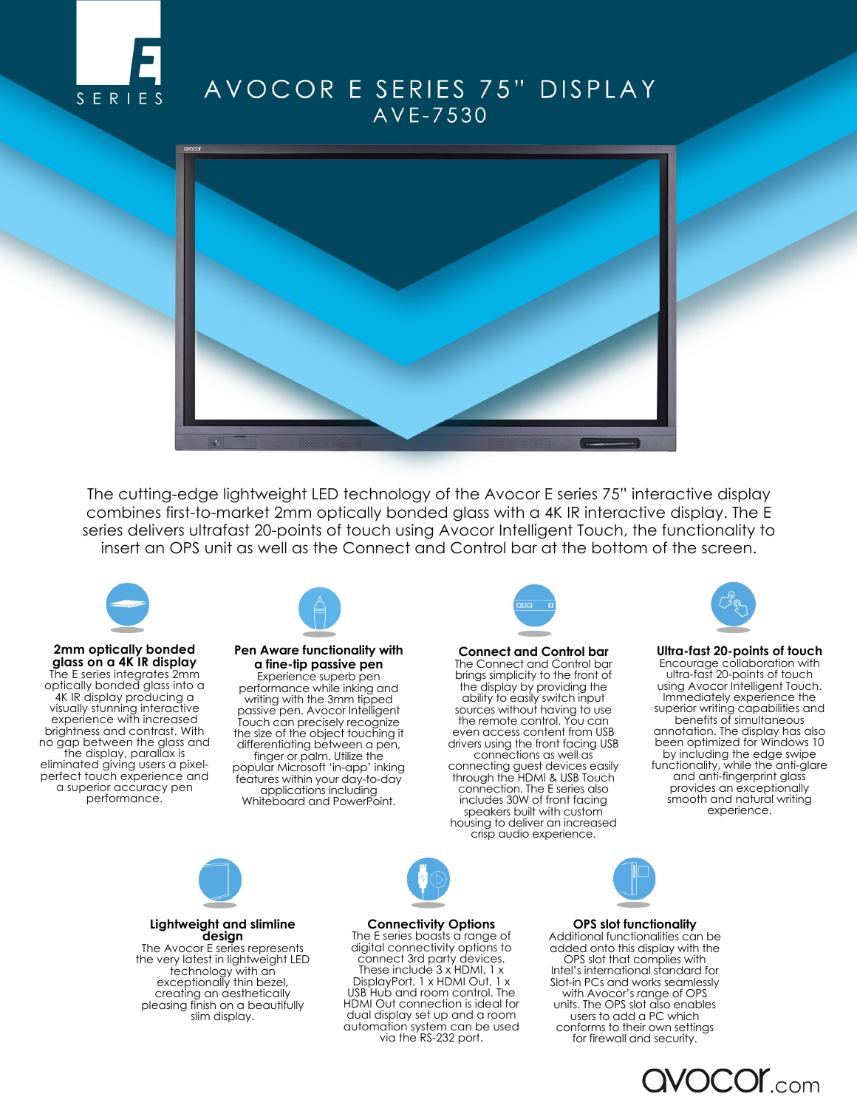

## AVOCOR E SERIES 75" DISPLAY AVE-7530



The cutting-edge lightweight LED technology of the Avocor E series 75" interactive display combines first-to-market 2mm optically bonded glass with a 4K IR interactive display. The E series delivers ultrafast 20-points of touch using Avocor Intelligent Touch, the functionality to insert an OPS unit as well as the Connect and Control bar at the bottom of the screen.



**2mm optically bonded glass on a 4K IR display** The E series integrates 2mm optically bonded glass into a 4K IR display producing a visually stunning interactive experience with increased brightness and contrast. With no gap between the glass and the display, parallax is eliminated giving users a pixelperfect touch experience and a superior accuracy pen performance.



## **Pen Aware functionality with a fine-tip passive pen**  Experience superb pen

performance while inking and writing with the 3mm tipped passive pen. Avocor Intelligent Touch can precisely recognize the size of the object touching it differentiating between a pen, finger or palm. Utilize the popular Microsoft 'in-app' inking features within your day-to-day applications including Whiteboard and PowerPoint.



**Connect and Control bar**  The Connect and Control bar brings simplicity to the front of the display by providing the ability to easily switch input sources without having to use the remote control. You can even access content from USB drivers using the front facing USB connections as well as connecting guest devices easily through the HDMI & USB Touch connection. The E series also includes 30W of front facing speakers built with custom housing to deliver an increased crisp audio experience.



**Ultra-fast 20-points of touch** Encourage collaboration with ultra-fast 20-points of touch using Avocor Intelligent Touch. Immediately experience the superior writing capabilities and benefits of simultaneous annotation. The display has also been optimized for Windows 10 by including the edge swipe functionality, while the anti-glare and anti-fingerprint glass provides an exceptionally smooth and natural writing experience.



**Lightweight and slimline design** The Avocor E series represents the very latest in lightweight LED technology with an exceptionally thin bezel, creating an aesthetically pleasing finish on a beautifully slim display.



**Connectivity Options** The E series boasts a range of digital connectivity options to connect 3rd party devices. These include 3 x HDMI, 1 x DisplayPort, 1 x HDMI Out, 1 x USB Hub and room control. The HDMI Out connection is ideal for dual display set up and a room automation system can be used via the RS-232 port.

## **OPS slot functionality**

Additional functionalities can be added onto this display with the OPS slot that complies with Intel's international standard for Slot-in PCs and works seamlessly with Avocor's range of OPS units. The OPS slot also enables users to add a PC which conforms to their own settings for firewall and security.